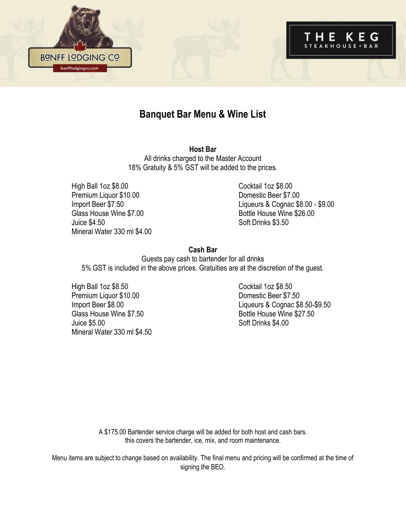

## **Banquet Bar Menu & Wine List**

**Host Bar** All drinks charged to the Master Account 18% Gratuity & 5% GST will be added to the prices.

High Ball 1oz \$8.00 Cocktail 1oz \$8.00 Premium Liquor \$10.00 Domestic Beer \$7.00 Glass House Wine \$7.00 Bottle House Wine \$26.00 Juice \$4.50 Soft Drinks \$3.50 Mineral Water 330 ml \$4.00

Import Beer \$7.50 Liqueurs & Cognac \$8.00 - \$9.00

#### **Cash Bar**

Guests pay cash to bartender for all drinks 5% GST is included in the above prices. Gratuities are at the discretion of the guest.

High Ball 1oz \$8.50 Cocktail 1oz \$8.50 Premium Liquor \$10.00 Domestic Beer \$7.50 Glass House Wine \$7.50 Bottle House Wine \$27.50 Juice \$5.00 Soft Drinks \$4.00 Mineral Water 330 ml \$4.50

Import Beer \$8.00 Liqueurs & Cognac \$8.50-\$9.50

A \$175.00 Bartender service charge will be added for both host and cash bars. this covers the bartender, ice, mix, and room maintenance.

Menu items are subject to change based on availability. The final menu and pricing will be confirmed at the time of signing the BEO.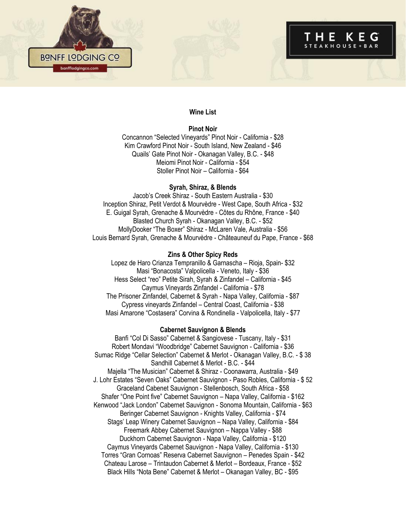



# STEAKHOUSE + BAR

#### **Wine List**

#### **Pinot Noir**

Concannon "Selected Vineyards" Pinot Noir - California - \$28 Kim Crawford Pinot Noir - South Island, New Zealand - \$46 Quails' Gate Pinot Noir - Okanagan Valley, B.C. - \$48 Meiomi Pinot Noir - California - \$54 Stoller Pinot Noir – California - \$64

#### **Syrah, Shiraz, & Blends**

Jacob's Creek Shiraz - South Eastern Australia - \$30 Inception Shiraz, Petit Verdot & Mourvèdre - West Cape, South Africa - \$32 E. Guigal Syrah, Grenache & Mourvèdre - Côtes du Rhône, France - \$40 Blasted Church Syrah - Okanagan Valley, B.C. - \$52 MollyDooker "The Boxer" Shiraz - McLaren Vale, Australia - \$56 Louis Bernard Syrah, Grenache & Mourvèdre - Châteauneuf du Pape, France - \$68

#### **Zins & Other Spicy Reds**

Lopez de Haro Crianza Tempranillo & Garnascha – Rioja, Spain- \$32 Masi "Bonacosta" Valpolicella - Veneto, Italy - \$36 Hess Select "reo" Petite Sirah, Syrah & Zinfandel – California - \$45 Caymus Vineyards Zinfandel - California - \$78 The Prisoner Zinfandel, Cabernet & Syrah - Napa Valley, California - \$87 Cypress vineyards Zinfandel – Central Coast, California - \$38 Masi Amarone "Costasera" Corvina & Rondinella - Valpolicella, Italy - \$77

#### **Cabernet Sauvignon & Blends**

Banfi "Col Di Sasso" Cabernet & Sangiovese - Tuscany, Italy - \$31 Robert Mondavi "Woodbridge" Cabernet Sauvignon - California - \$36 Sumac Ridge "Cellar Selection" Cabernet & Merlot - Okanagan Valley, B.C. - \$ 38 Sandhill Cabernet & Merlot - B.C. - \$44 Majella "The Musician" Cabernet & Shiraz - Coonawarra, Australia - \$49 J. Lohr Estates "Seven Oaks" Cabernet Sauvignon - Paso Robles, California - \$ 52 Graceland Cabenet Sauvignon - Stellenbosch, South Africa - \$58 Shafer "One Point five" Cabernet Sauvignon – Napa Valley, California - \$162 Kenwood "Jack London" Cabernet Sauvignon - Sonoma Mountain, California - \$63 Beringer Cabernet Sauvignon - Knights Valley, California - \$74 Stags' Leap Winery Cabernet Sauvignon – Napa Valley, California - \$84 Freemark Abbey Cabernet Sauvignon – Nappa Valley - \$88 Duckhorn Cabernet Sauvignon - Napa Valley, California - \$120 Caymus Vineyards Cabernet Sauvignon - Napa Valley, California - \$130 Torres "Gran Cornoas" Reserva Cabernet Sauvignon – Penedes Spain - \$42 Chateau Larose – Trintaudon Cabernet & Merlot – Bordeaux, France - \$52 Black Hills "Nota Bene" Cabernet & Merlot – Okanagan Valley, BC - \$95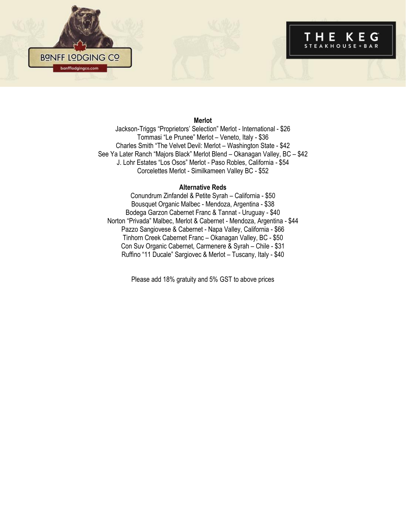



#### **Merlot**

Jackson-Triggs "Proprietors' Selection" Merlot - International - \$26 Tommasi "Le Prunee" Merlot – Veneto, Italy - \$36 Charles Smith "The Velvet Devil: Merlot – Washington State - \$42 See Ya Later Ranch "Majors Black" Merlot Blend – Okanagan Valley, BC – \$42 J. Lohr Estates "Los Osos" Merlot - Paso Robles, California - \$54 Corcelettes Merlot - Similkameen Valley BC - \$52

#### **Alternative Reds**

Conundrum Zinfandel & Petite Syrah – California - \$50 Bousquet Organic Malbec - Mendoza, Argentina - \$38 Bodega Garzon Cabernet Franc & Tannat - Uruguay - \$40 Norton "Privada" Malbec, Merlot & Cabernet - Mendoza, Argentina - \$44 Pazzo Sangiovese & Cabernet - Napa Valley, California - \$66 Tinhorn Creek Cabernet Franc – Okanagan Valley, BC - \$50 Con Suv Organic Cabernet, Carmenere & Syrah – Chile - \$31 Ruffino "11 Ducale" Sargiovec & Merlot – Tuscany, Italy - \$40

Please add 18% gratuity and 5% GST to above prices